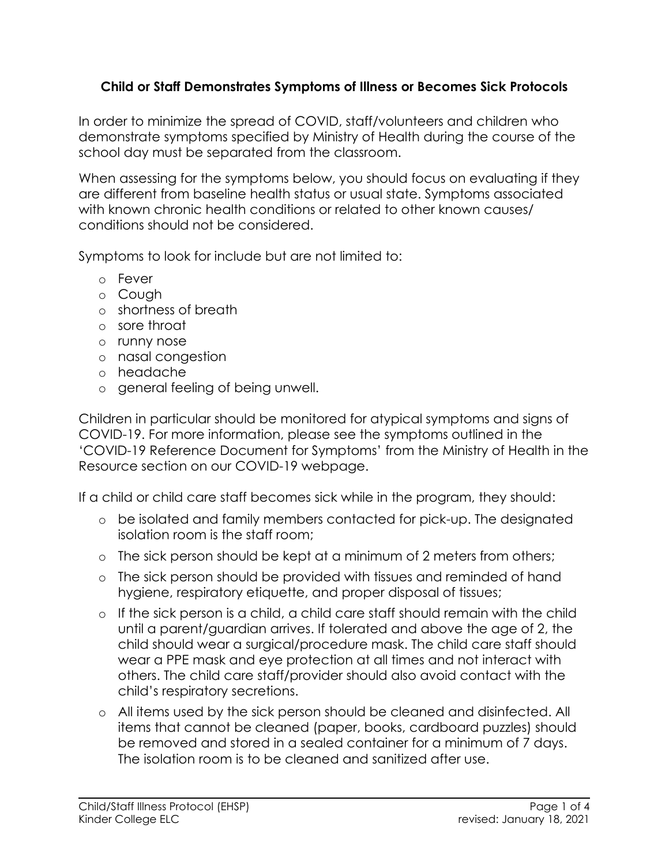#### **Child or Staff Demonstrates Symptoms of Illness or Becomes Sick Protocols**

In order to minimize the spread of COVID, staff/volunteers and children who demonstrate symptoms specified by Ministry of Health during the course of the school day must be separated from the classroom.

When assessing for the symptoms below, you should focus on evaluating if they are different from baseline health status or usual state. Symptoms associated with known chronic health conditions or related to other known causes/ conditions should not be considered.

Symptoms to look for include but are not limited to:

- o Fever
- o Cough
- o shortness of breath
- o sore throat
- o runny nose
- o nasal congestion
- o headache
- o general feeling of being unwell.

Children in particular should be monitored for atypical symptoms and signs of COVID-19. For more information, please see the symptoms outlined in the 'COVID-19 Reference Document for Symptoms' from the Ministry of Health in the Resource section on our COVID-19 webpage.

If a child or child care staff becomes sick while in the program, they should:

- o be isolated and family members contacted for pick-up. The designated isolation room is the staff room;
- o The sick person should be kept at a minimum of 2 meters from others;
- o The sick person should be provided with tissues and reminded of hand hygiene, respiratory etiquette, and proper disposal of tissues;
- o If the sick person is a child, a child care staff should remain with the child until a parent/guardian arrives. If tolerated and above the age of 2, the child should wear a surgical/procedure mask. The child care staff should wear a PPE mask and eye protection at all times and not interact with others. The child care staff/provider should also avoid contact with the child's respiratory secretions.
- o All items used by the sick person should be cleaned and disinfected. All items that cannot be cleaned (paper, books, cardboard puzzles) should be removed and stored in a sealed container for a minimum of 7 days. The isolation room is to be cleaned and sanitized after use.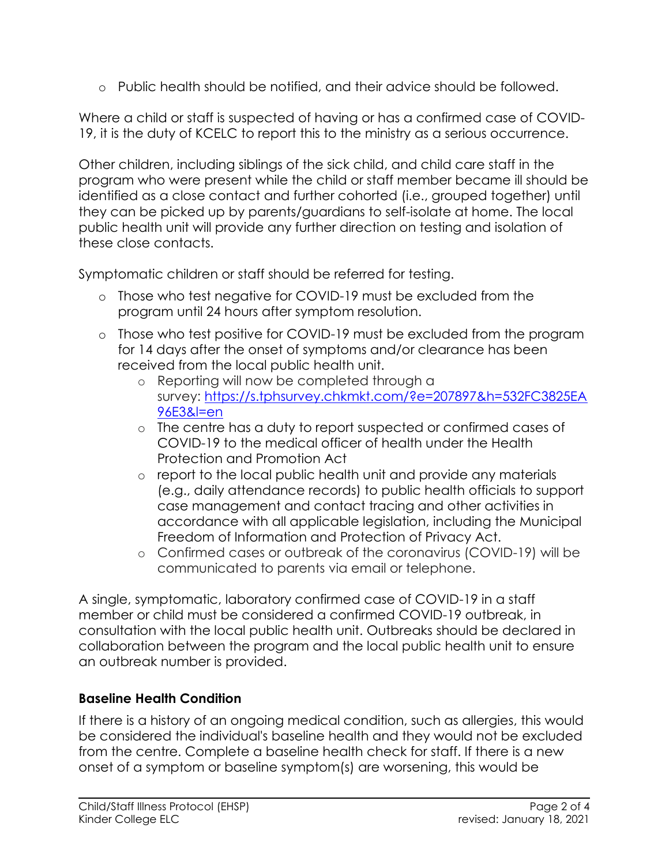o Public health should be notified, and their advice should be followed.

Where a child or staff is suspected of having or has a confirmed case of COVID-19, it is the duty of KCELC to report this to the ministry as a serious occurrence.

Other children, including siblings of the sick child, and child care staff in the program who were present while the child or staff member became ill should be identified as a close contact and further cohorted (i.e., grouped together) until they can be picked up by parents/guardians to self-isolate at home. The local public health unit will provide any further direction on testing and isolation of these close contacts.

Symptomatic children or staff should be referred for testing.

- o Those who test negative for COVID-19 must be excluded from the program until 24 hours after symptom resolution.
- o Those who test positive for COVID-19 must be excluded from the program for 14 days after the onset of symptoms and/or clearance has been received from the local public health unit.
	- o Reporting will now be completed through a survey: [https://s.tphsurvey.chkmkt.com/?e=207897&h=532FC3825EA](https://s.tphsurvey.chkmkt.com/?e=207897&h=532FC3825EA96E3&l=en) [96E3&l=en](https://s.tphsurvey.chkmkt.com/?e=207897&h=532FC3825EA96E3&l=en)
	- o The centre has a duty to report suspected or confirmed cases of COVID-19 to the medical officer of health under the Health Protection and Promotion Act
	- o report to the local public health unit and provide any materials (e.g., daily attendance records) to public health officials to support case management and contact tracing and other activities in accordance with all applicable legislation, including the Municipal Freedom of Information and Protection of Privacy Act.
	- o Confirmed cases or outbreak of the coronavirus (COVID-19) will be communicated to parents via email or telephone.

A single, symptomatic, laboratory confirmed case of COVID-19 in a staff member or child must be considered a confirmed COVID-19 outbreak, in consultation with the local public health unit. Outbreaks should be declared in collaboration between the program and the local public health unit to ensure an outbreak number is provided.

# **Baseline Health Condition**

If there is a history of an ongoing medical condition, such as allergies, this would be considered the individual's baseline health and they would not be excluded from the centre. Complete a baseline health check for staff. If there is a new onset of a symptom or baseline symptom(s) are worsening, this would be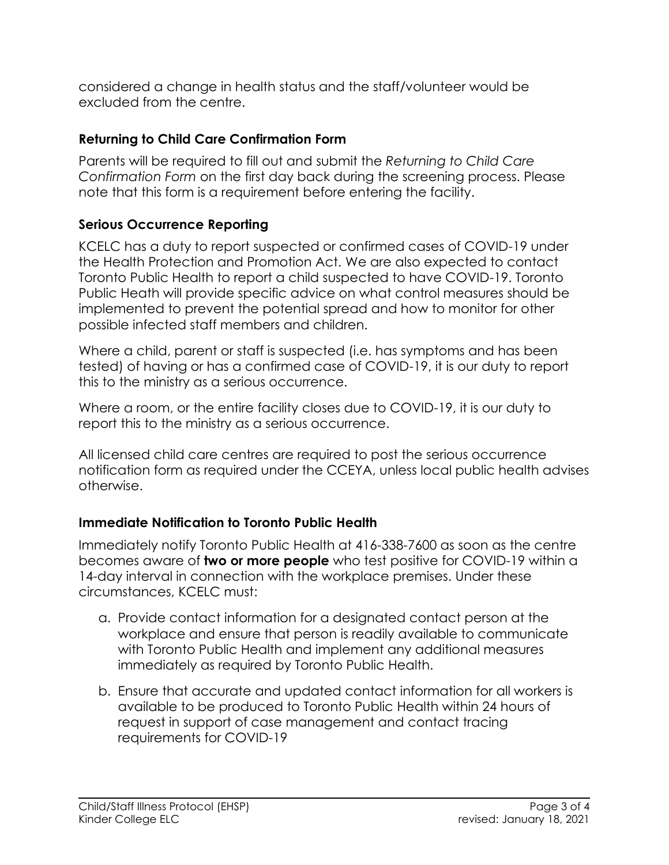considered a change in health status and the staff/volunteer would be excluded from the centre.

## **Returning to Child Care Confirmation Form**

Parents will be required to fill out and submit the *Returning to Child Care Confirmation Form* on the first day back during the screening process. Please note that this form is a requirement before entering the facility.

## **Serious Occurrence Reporting**

KCELC has a duty to report suspected or confirmed cases of COVID-19 under the Health Protection and Promotion Act. We are also expected to contact Toronto Public Health to report a child suspected to have COVID-19. Toronto Public Heath will provide specific advice on what control measures should be implemented to prevent the potential spread and how to monitor for other possible infected staff members and children.

Where a child, parent or staff is suspected (i.e. has symptoms and has been tested) of having or has a confirmed case of COVID-19, it is our duty to report this to the ministry as a serious occurrence.

Where a room, or the entire facility closes due to COVID-19, it is our duty to report this to the ministry as a serious occurrence.

All licensed child care centres are required to post the serious occurrence notification form as required under the CCEYA, unless local public health advises otherwise.

### **Immediate Notification to Toronto Public Health**

Immediately notify Toronto Public Health at 416-338-7600 as soon as the centre becomes aware of **two or more people** who test positive for COVID-19 within a 14-day interval in connection with the workplace premises. Under these circumstances, KCELC must:

- a. Provide contact information for a designated contact person at the workplace and ensure that person is readily available to communicate with Toronto Public Health and implement any additional measures immediately as required by Toronto Public Health.
- b. Ensure that accurate and updated contact information for all workers is available to be produced to Toronto Public Health within 24 hours of request in support of case management and contact tracing requirements for COVID-19